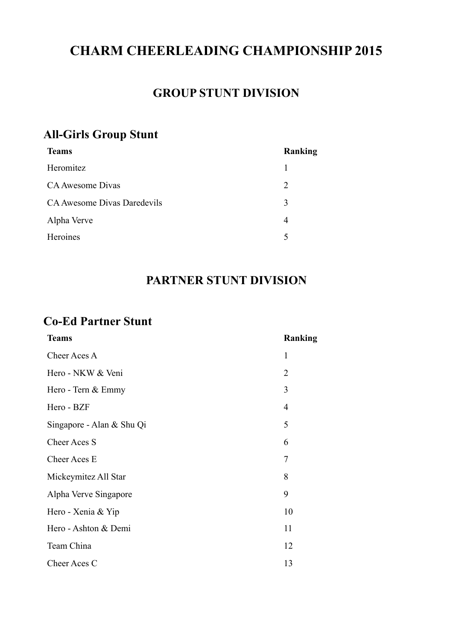## **CHARM CHEERLEADING CHAMPIONSHIP 2015**

#### **GROUP STUNT DIVISION**

#### **All-Girls Group Stunt**

| <b>Teams</b>                | Ranking                     |
|-----------------------------|-----------------------------|
| Heromitez                   |                             |
| CA Awesome Divas            | $\mathcal{D}_{\mathcal{L}}$ |
| CA Awesome Divas Daredevils | 3                           |
| Alpha Verve                 | 4                           |
| Heroines                    | 5                           |

### **PARTNER STUNT DIVISION**

#### **Co-Ed Partner Stunt**

| <b>Teams</b>              | Ranking        |
|---------------------------|----------------|
| Cheer Aces A              | $\mathbf{1}$   |
| Hero - NKW & Veni         | $\overline{2}$ |
| Hero - Tern & Emmy        | 3              |
| Hero - BZF                | 4              |
| Singapore - Alan & Shu Qi | 5              |
| <b>Cheer Aces S</b>       | 6              |
| Cheer Aces E              | 7              |
| Mickeymitez All Star      | 8              |
| Alpha Verve Singapore     | 9              |
| Hero - Xenia & Yip        | 10             |
| Hero - Ashton & Demi      | 11             |
| Team China                | 12             |
| Cheer Aces C              | 13             |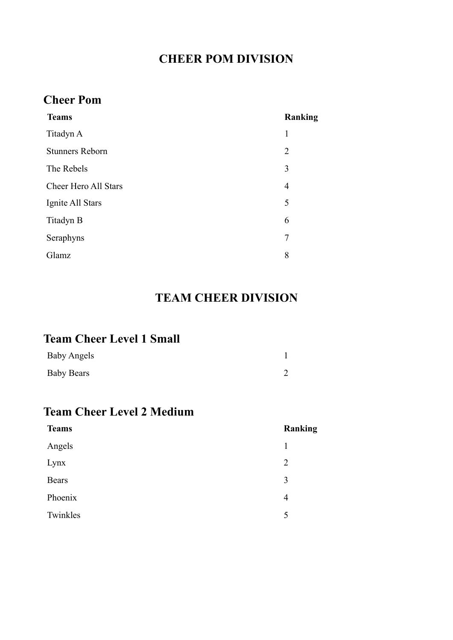## **CHEER POM DIVISION**

### **Cheer Pom**

| <b>Teams</b>                | Ranking        |
|-----------------------------|----------------|
| Titadyn A                   | 1              |
| <b>Stunners Reborn</b>      | $\overline{2}$ |
| The Rebels                  | 3              |
| <b>Cheer Hero All Stars</b> | $\overline{4}$ |
| Ignite All Stars            | 5              |
| Titadyn B                   | 6              |
| Seraphyns                   | 7              |
| Glamz                       | 8              |
|                             |                |

### **TEAM CHEER DIVISION**

### **Team Cheer Level 1 Small**

| <b>Baby Angels</b> |  |
|--------------------|--|
| <b>Baby Bears</b>  |  |

### **Team Cheer Level 2 Medium**

| <b>Teams</b> | Ranking        |
|--------------|----------------|
| Angels       |                |
| Lynx         | $\overline{2}$ |
| Bears        | 3              |
| Phoenix      | 4              |
| Twinkles     | 5              |
|              |                |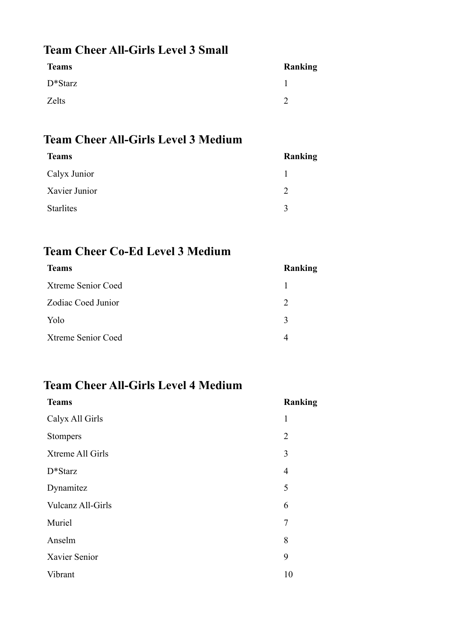### **Team Cheer All-Girls Level 3 Small**

| <b>Teams</b> | <b>Ranking</b> |
|--------------|----------------|
| $D^*Starz$   |                |
| Zelts        |                |

#### **Team Cheer All-Girls Level 3 Medium**

| <b>Teams</b>     | Ranking       |
|------------------|---------------|
| Calyx Junior     |               |
| Xavier Junior    | $\mathcal{D}$ |
| <b>Starlites</b> | $\mathbf{R}$  |

## **Team Cheer Co-Ed Level 3 Medium**

| Ranking       |
|---------------|
|               |
| 2             |
| $\mathcal{E}$ |
| 4             |
|               |

### **Team Cheer All-Girls Level 4 Medium**

| <b>Teams</b>             | <b>Ranking</b> |
|--------------------------|----------------|
| Calyx All Girls          | 1              |
| Stompers                 | $\overline{2}$ |
| Xtreme All Girls         | 3              |
| $D*Starz$                | $\overline{4}$ |
| Dynamitez                | 5              |
| <b>Vulcanz All-Girls</b> | 6              |
| Muriel                   | 7              |
| Anselm                   | 8              |
| Xavier Senior            | 9              |
| Vibrant                  | 10             |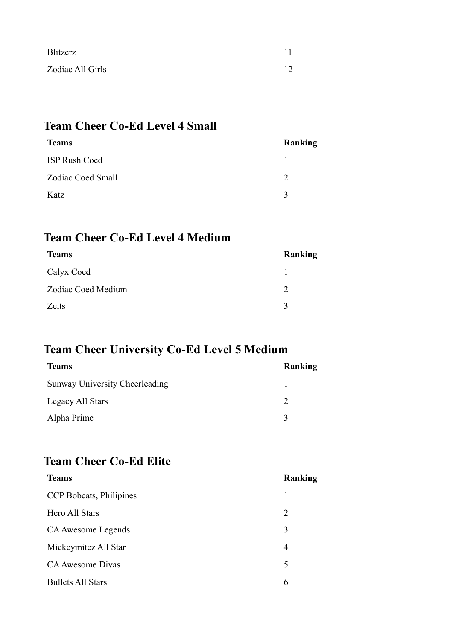| Blitzerz         |    |
|------------------|----|
| Zodiac All Girls | 12 |

### **Team Cheer Co-Ed Level 4 Small**

| <b>Teams</b>         | Ranking     |
|----------------------|-------------|
| <b>ISP Rush Coed</b> |             |
| Zodiac Coed Small    |             |
| Katz                 | $\mathbf 3$ |

#### **Team Cheer Co-Ed Level 4 Medium**

| <b>Teams</b>            | Ranking |
|-------------------------|---------|
| Calyx Coed              |         |
| Zodiac Coed Medium<br>2 |         |
| Zelts<br>$\mathbf{R}$   |         |

## **Team Cheer University Co-Ed Level 5 Medium**

| <b>Teams</b>                   | Ranking     |
|--------------------------------|-------------|
| Sunway University Cheerleading |             |
| Legacy All Stars               |             |
| Alpha Prime                    | $\mathbf 3$ |
|                                |             |

### **Team Cheer Co-Ed Elite**

| <b>Teams</b>             | Ranking        |
|--------------------------|----------------|
| CCP Bobcats, Philipines  |                |
| Hero All Stars           | $\overline{2}$ |
| CA Awesome Legends       | 3              |
| Mickeymitez All Star     | 4              |
| CA Awesome Divas         | 5              |
| <b>Bullets All Stars</b> | 6              |